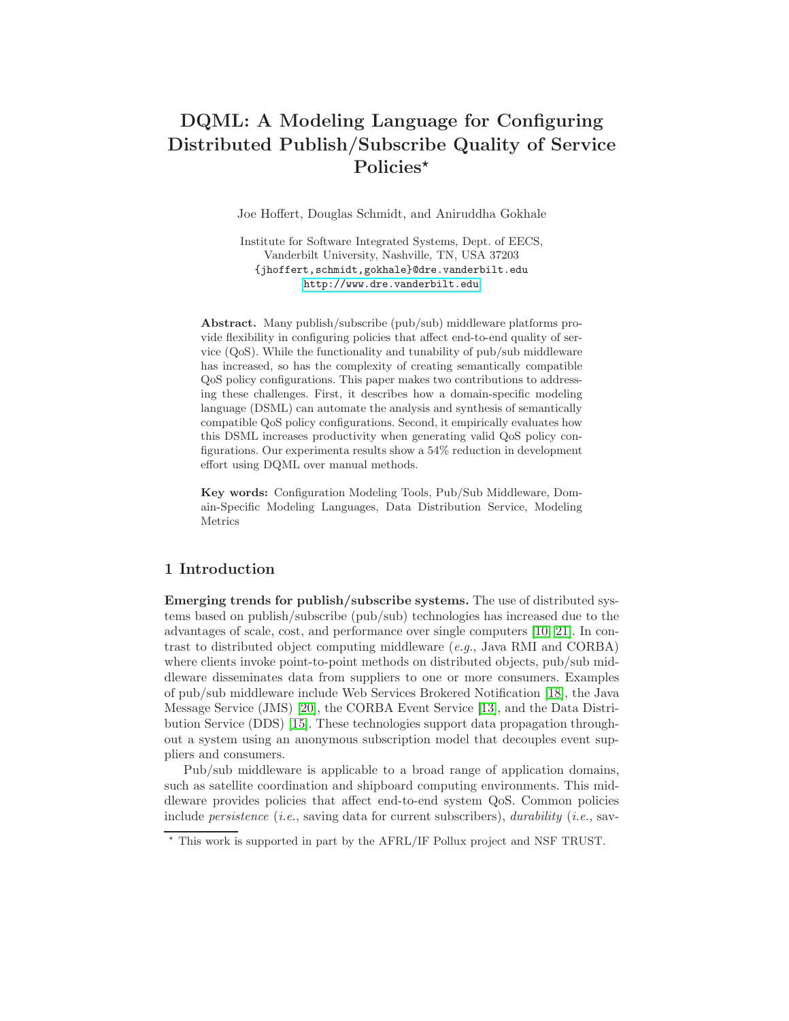# **DQML: A Modeling Language for Configuring Distributed Publish/Subscribe Quality of Service Policies***-*

Joe Hoffert, Douglas Schmidt, and Aniruddha Gokhale

Institute for Software Integrated Systems, Dept. of EECS, Vanderbilt University, Nashville, TN, USA 37203 {jhoffert,schmidt,gokhale}@dre.vanderbilt.edu <http://www.dre.vanderbilt.edu>

**Abstract.** Many publish/subscribe (pub/sub) middleware platforms provide flexibility in configuring policies that affect end-to-end quality of service (QoS). While the functionality and tunability of pub/sub middleware has increased, so has the complexity of creating semantically compatible QoS policy configurations. This paper makes two contributions to addressing these challenges. First, it describes how a domain-specific modeling language (DSML) can automate the analysis and synthesis of semantically compatible QoS policy configurations. Second, it empirically evaluates how this DSML increases productivity when generating valid QoS policy configurations. Our experimenta results show a 54% reduction in development effort using DQML over manual methods.

**Key words:** Configuration Modeling Tools, Pub/Sub Middleware, Domain-Specific Modeling Languages, Data Distribution Service, Modeling Metrics

## <span id="page-0-0"></span>**1 Introduction**

**Emerging trends for publish/subscribe systems.** The use of distributed systems based on publish/subscribe (pub/sub) technologies has increased due to the advantages of scale, cost, and performance over single computers [\[10,](#page-17-0) [21\]](#page-17-1). In contrast to distributed object computing middleware (*e.g.*, Java RMI and CORBA) where clients invoke point-to-point methods on distributed objects, pub/sub middleware disseminates data from suppliers to one or more consumers. Examples of pub/sub middleware include Web Services Brokered Notification [\[18\]](#page-17-2), the Java Message Service (JMS) [\[20\]](#page-17-3), the CORBA Event Service [\[13\]](#page-17-4), and the Data Distribution Service (DDS) [\[15\]](#page-17-5). These technologies support data propagation throughout a system using an anonymous subscription model that decouples event suppliers and consumers.

Pub/sub middleware is applicable to a broad range of application domains, such as satellite coordination and shipboard computing environments. This middleware provides policies that affect end-to-end system QoS. Common policies include *persistence* (*i.e.*, saving data for current subscribers), *durability* (*i.e.*, sav-

<sup>-</sup> This work is supported in part by the AFRL/IF Pollux project and NSF TRUST.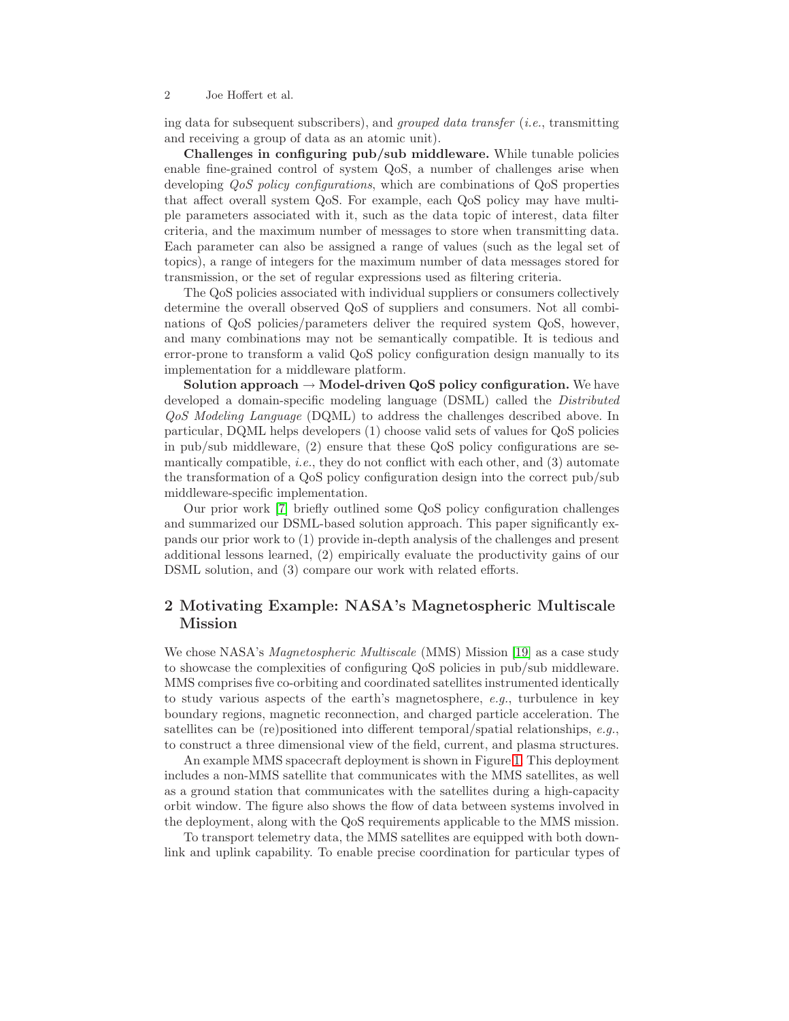ing data for subsequent subscribers), and *grouped data transfer* (*i.e.*, transmitting and receiving a group of data as an atomic unit).

**Challenges in configuring pub/sub middleware.** While tunable policies enable fine-grained control of system QoS, a number of challenges arise when developing *QoS policy configurations*, which are combinations of QoS properties that affect overall system QoS. For example, each QoS policy may have multiple parameters associated with it, such as the data topic of interest, data filter criteria, and the maximum number of messages to store when transmitting data. Each parameter can also be assigned a range of values (such as the legal set of topics), a range of integers for the maximum number of data messages stored for transmission, or the set of regular expressions used as filtering criteria.

The QoS policies associated with individual suppliers or consumers collectively determine the overall observed QoS of suppliers and consumers. Not all combinations of QoS policies/parameters deliver the required system QoS, however, and many combinations may not be semantically compatible. It is tedious and error-prone to transform a valid QoS policy configuration design manually to its implementation for a middleware platform.

**Solution approach**  $\rightarrow$  **Model-driven QoS policy configuration.** We have developed a domain-specific modeling language (DSML) called the *Distributed QoS Modeling Language* (DQML) to address the challenges described above. In particular, DQML helps developers (1) choose valid sets of values for QoS policies in pub/sub middleware,  $(2)$  ensure that these QoS policy configurations are semantically compatible, *i.e.*, they do not conflict with each other, and  $(3)$  automate the transformation of a QoS policy configuration design into the correct pub/sub middleware-specific implementation.

Our prior work [\[7\]](#page-17-6) briefly outlined some QoS policy configuration challenges and summarized our DSML-based solution approach. This paper significantly expands our prior work to (1) provide in-depth analysis of the challenges and present additional lessons learned, (2) empirically evaluate the productivity gains of our DSML solution, and (3) compare our work with related efforts.

# <span id="page-1-0"></span>**2 Motivating Example: NASA's Magnetospheric Multiscale Mission**

We chose NASA's *Magnetospheric Multiscale* (MMS) Mission [\[19\]](#page-17-7) as a case study to showcase the complexities of configuring QoS policies in pub/sub middleware. MMS comprises five co-orbiting and coordinated satellites instrumented identically to study various aspects of the earth's magnetosphere, *e.g.*, turbulence in key boundary regions, magnetic reconnection, and charged particle acceleration. The satellites can be (re)positioned into different temporal/spatial relationships, *e.g.*, to construct a three dimensional view of the field, current, and plasma structures.

An example MMS spacecraft deployment is shown in Figure [1.](#page-2-0) This deployment includes a non-MMS satellite that communicates with the MMS satellites, as well as a ground station that communicates with the satellites during a high-capacity orbit window. The figure also shows the flow of data between systems involved in the deployment, along with the QoS requirements applicable to the MMS mission.

To transport telemetry data, the MMS satellites are equipped with both downlink and uplink capability. To enable precise coordination for particular types of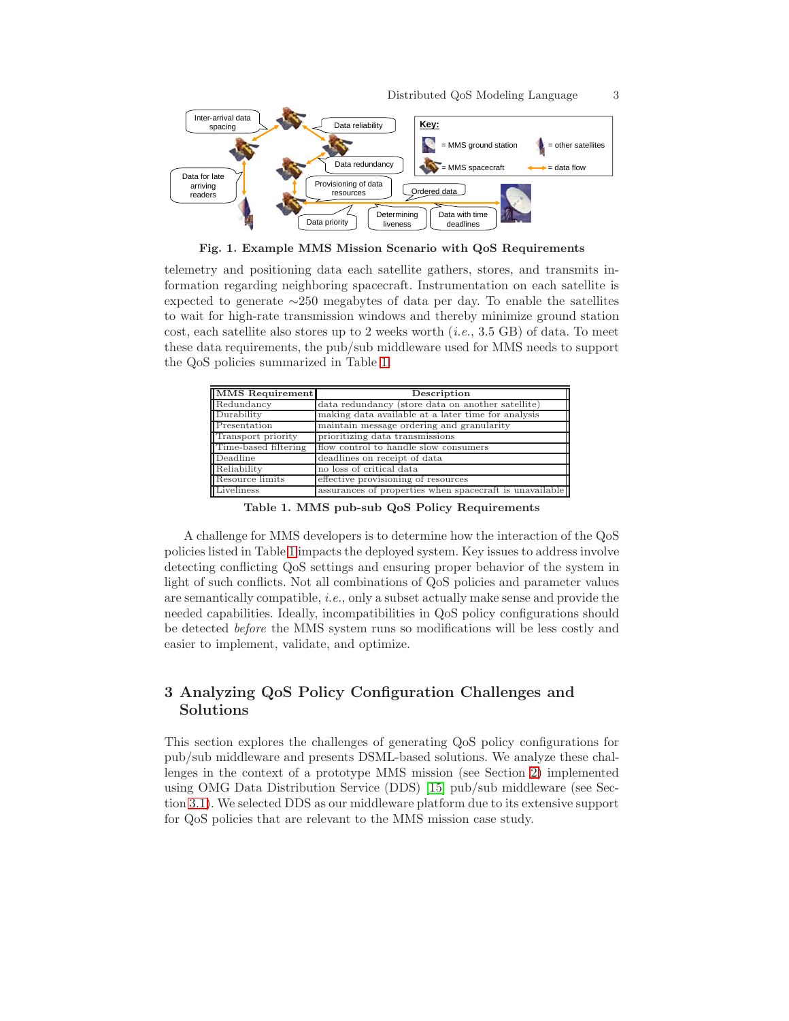Distributed QoS Modeling Language 3



<span id="page-2-0"></span>**Fig. 1. Example MMS Mission Scenario with QoS Requirements**

telemetry and positioning data each satellite gathers, stores, and transmits information regarding neighboring spacecraft. Instrumentation on each satellite is expected to generate ∼250 megabytes of data per day. To enable the satellites to wait for high-rate transmission windows and thereby minimize ground station cost, each satellite also stores up to 2 weeks worth (*i.e.*, 3.5 GB) of data. To meet these data requirements, the pub/sub middleware used for MMS needs to support the QoS policies summarized in Table [1.](#page-2-1)

| <b>MMS</b> Requirement | Description                                             |  |
|------------------------|---------------------------------------------------------|--|
| Redundancy             | data redundancy (store data on another satellite)       |  |
| Durability             | making data available at a later time for analysis      |  |
| Presentation           | maintain message ordering and granularity               |  |
| Transport priority     | prioritizing data transmissions                         |  |
| Time-based filtering   | flow control to handle slow consumers                   |  |
| Deadline               | deadlines on receipt of data                            |  |
| Reliability            | no loss of critical data                                |  |
| Resource limits        | effective provisioning of resources                     |  |
| Liveliness             | assurances of properties when spacecraft is unavailable |  |

<span id="page-2-1"></span>**Table 1. MMS pub-sub QoS Policy Requirements**

A challenge for MMS developers is to determine how the interaction of the QoS policies listed in Table [1](#page-2-1) impacts the deployed system. Key issues to address involve detecting conflicting QoS settings and ensuring proper behavior of the system in light of such conflicts. Not all combinations of QoS policies and parameter values are semantically compatible, *i.e.*, only a subset actually make sense and provide the needed capabilities. Ideally, incompatibilities in QoS policy configurations should be detected *before* the MMS system runs so modifications will be less costly and easier to implement, validate, and optimize.

# **3 Analyzing QoS Policy Configuration Challenges and Solutions**

This section explores the challenges of generating QoS policy configurations for pub/sub middleware and presents DSML-based solutions. We analyze these challenges in the context of a prototype MMS mission (see Section [2\)](#page-1-0) implemented using OMG Data Distribution Service (DDS) [\[15\]](#page-17-5) pub/sub middleware (see Section [3.1\)](#page-3-0). We selected DDS as our middleware platform due to its extensive support for QoS policies that are relevant to the MMS mission case study.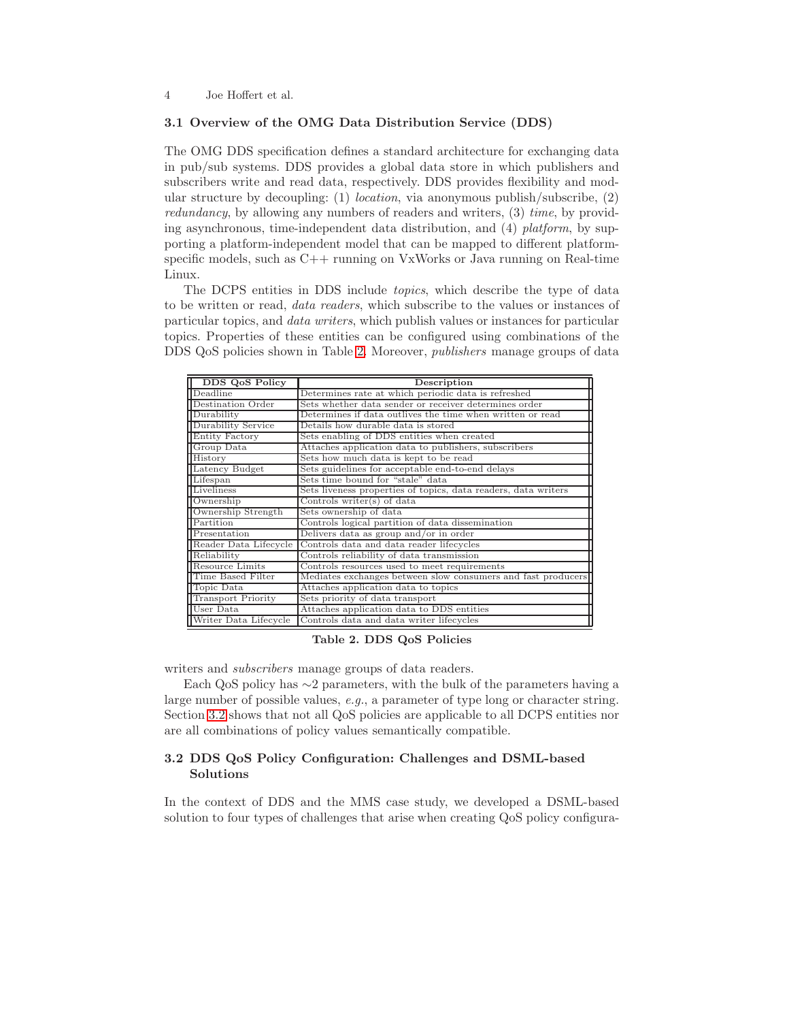## <span id="page-3-0"></span>**3.1 Overview of the OMG Data Distribution Service (DDS)**

The OMG DDS specification defines a standard architecture for exchanging data in pub/sub systems. DDS provides a global data store in which publishers and subscribers write and read data, respectively. DDS provides flexibility and modular structure by decoupling: (1) *location*, via anonymous publish/subscribe, (2) *redundancy*, by allowing any numbers of readers and writers, (3) *time*, by providing asynchronous, time-independent data distribution, and (4) *platform*, by supporting a platform-independent model that can be mapped to different platformspecific models, such as C++ running on VxWorks or Java running on Real-time Linux.

The DCPS entities in DDS include *topics*, which describe the type of data to be written or read, *data readers*, which subscribe to the values or instances of particular topics, and *data writers*, which publish values or instances for particular topics. Properties of these entities can be configured using combinations of the DDS QoS policies shown in Table [2.](#page-3-1) Moreover, *publishers* manage groups of data

| DDS QoS Policy            | Description                                                    |
|---------------------------|----------------------------------------------------------------|
| Deadline                  | Determines rate at which periodic data is refreshed            |
| Destination Order         | Sets whether data sender or receiver determines order          |
| Durability                | Determines if data outlives the time when written or read      |
| Durability Service        | Details how durable data is stored                             |
| Entity Factory            | Sets enabling of DDS entities when created                     |
| Group Data                | Attaches application data to publishers, subscribers           |
| History                   | Sets how much data is kept to be read                          |
| Latency Budget            | Sets guidelines for acceptable end-to-end delays               |
| Lifespan                  | Sets time bound for "stale" data                               |
| Liveliness                | Sets liveness properties of topics, data readers, data writers |
| Ownership                 | Controls writer(s) of data                                     |
| Ownership Strength        | Sets ownership of data                                         |
| Partition                 | Controls logical partition of data dissemination               |
| Presentation              | Delivers data as group and/or in order                         |
| Reader Data Lifecycle     | Controls data and data reader lifecycles                       |
| Reliability               | Controls reliability of data transmission                      |
| Resource Limits           | Controls resources used to meet requirements                   |
| Time Based Filter         | Mediates exchanges between slow consumers and fast producers   |
| Topic Data                | Attaches application data to topics                            |
| <b>Transport Priority</b> | Sets priority of data transport                                |
| User Data                 | Attaches application data to DDS entities                      |
| Writer Data Lifecycle     | Controls data and data writer lifecycles                       |

<span id="page-3-1"></span>**Table 2. DDS QoS Policies**

writers and *subscribers* manage groups of data readers.

Each QoS policy has ∼2 parameters, with the bulk of the parameters having a large number of possible values, *e.g.*, a parameter of type long or character string. Section [3.2](#page-3-2) shows that not all QoS policies are applicable to all DCPS entities nor are all combinations of policy values semantically compatible.

## <span id="page-3-2"></span>**3.2 DDS QoS Policy Configuration: Challenges and DSML-based Solutions**

In the context of DDS and the MMS case study, we developed a DSML-based solution to four types of challenges that arise when creating QoS policy configura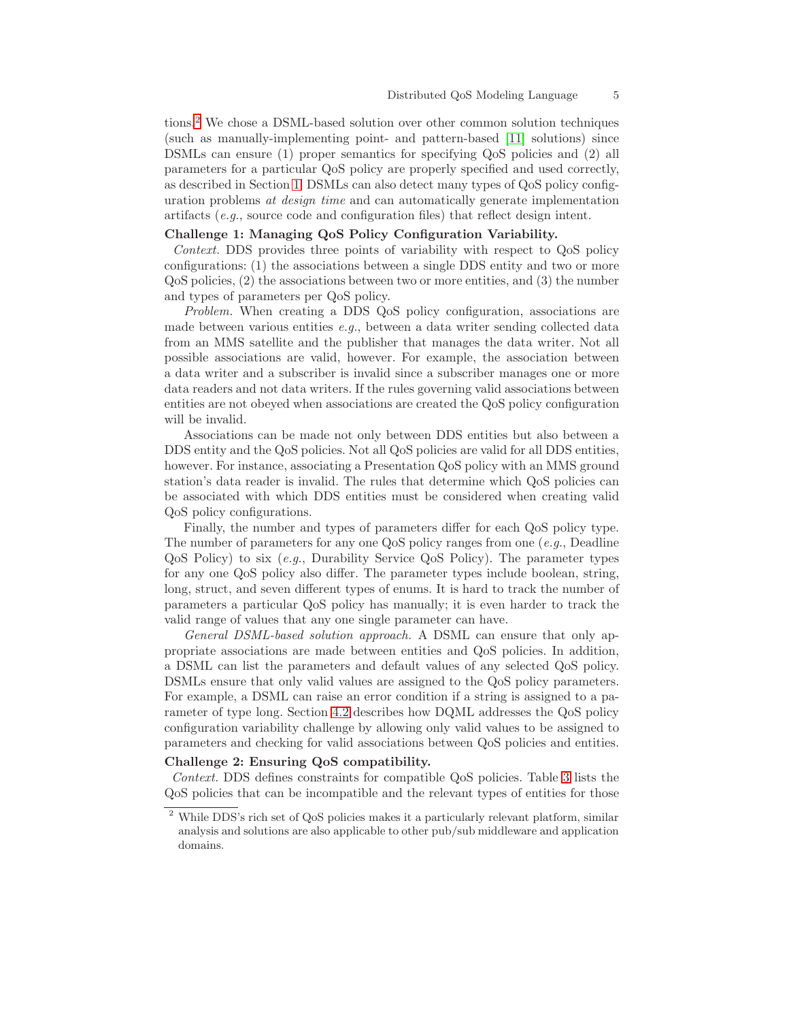tions.[2](#page-4-0) We chose a DSML-based solution over other common solution techniques (such as manually-implementing point- and pattern-based [\[11\]](#page-17-8) solutions) since DSMLs can ensure (1) proper semantics for specifying QoS policies and (2) all parameters for a particular QoS policy are properly specified and used correctly, as described in Section [1.](#page-0-0) DSMLs can also detect many types of QoS policy configuration problems *at design time* and can automatically generate implementation artifacts (*e.g.*, source code and configuration files) that reflect design intent.

### <span id="page-4-1"></span>**Challenge 1: Managing QoS Policy Configuration Variability.**

*Context.* DDS provides three points of variability with respect to QoS policy configurations: (1) the associations between a single DDS entity and two or more QoS policies, (2) the associations between two or more entities, and (3) the number and types of parameters per QoS policy.

*Problem.* When creating a DDS QoS policy configuration, associations are made between various entities *e.g.*, between a data writer sending collected data from an MMS satellite and the publisher that manages the data writer. Not all possible associations are valid, however. For example, the association between a data writer and a subscriber is invalid since a subscriber manages one or more data readers and not data writers. If the rules governing valid associations between entities are not obeyed when associations are created the QoS policy configuration will be invalid.

Associations can be made not only between DDS entities but also between a DDS entity and the QoS policies. Not all QoS policies are valid for all DDS entities, however. For instance, associating a Presentation QoS policy with an MMS ground station's data reader is invalid. The rules that determine which QoS policies can be associated with which DDS entities must be considered when creating valid QoS policy configurations.

Finally, the number and types of parameters differ for each QoS policy type. The number of parameters for any one QoS policy ranges from one (*e.g.*, Deadline QoS Policy) to six (*e.g.*, Durability Service QoS Policy). The parameter types for any one QoS policy also differ. The parameter types include boolean, string, long, struct, and seven different types of enums. It is hard to track the number of parameters a particular QoS policy has manually; it is even harder to track the valid range of values that any one single parameter can have.

*General DSML-based solution approach.* A DSML can ensure that only appropriate associations are made between entities and QoS policies. In addition, a DSML can list the parameters and default values of any selected QoS policy. DSMLs ensure that only valid values are assigned to the QoS policy parameters. For example, a DSML can raise an error condition if a string is assigned to a parameter of type long. Section [4.2](#page-8-0) describes how DQML addresses the QoS policy configuration variability challenge by allowing only valid values to be assigned to parameters and checking for valid associations between QoS policies and entities.

#### <span id="page-4-2"></span>**Challenge 2: Ensuring QoS compatibility.**

*Context.* DDS defines constraints for compatible QoS policies. Table [3](#page-5-0) lists the QoS policies that can be incompatible and the relevant types of entities for those

<span id="page-4-0"></span><sup>2</sup> While DDS's rich set of QoS policies makes it a particularly relevant platform, similar analysis and solutions are also applicable to other pub/sub middleware and application domains.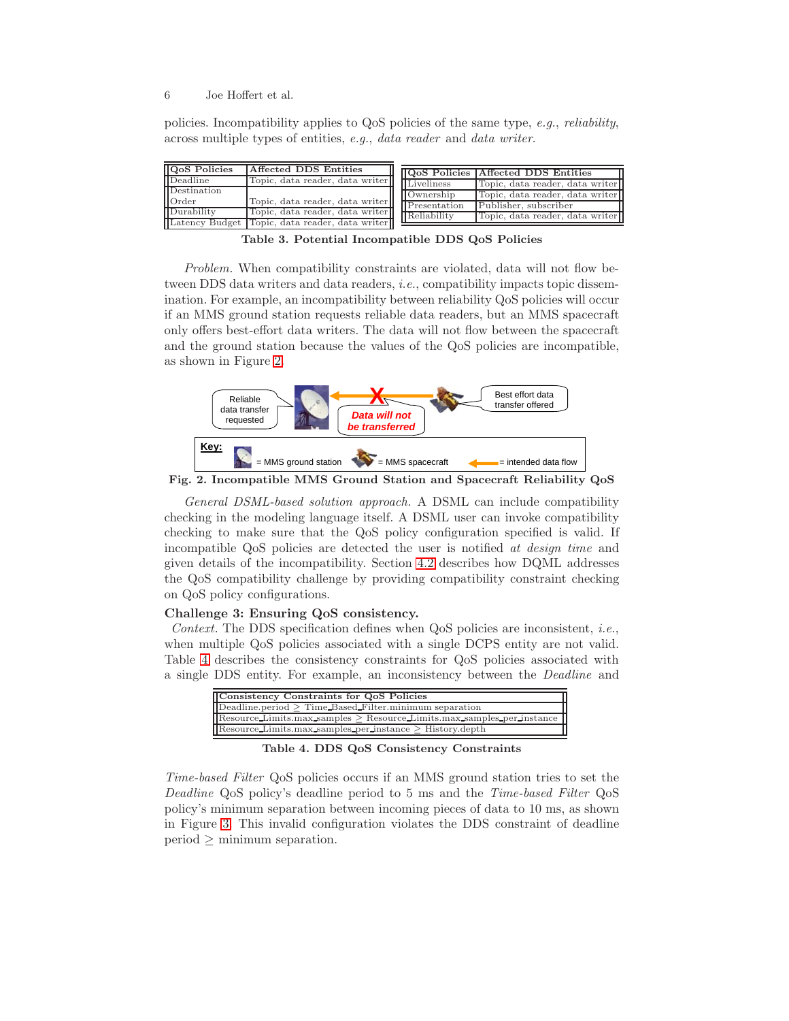policies. Incompatibility applies to QoS policies of the same type, *e.g.*, *reliability*, across multiple types of entities, *e.g.*, *data reader* and *data writer*.

| <b>OoS</b> Policies | Affected DDS Entities                          |                   |                                           |
|---------------------|------------------------------------------------|-------------------|-------------------------------------------|
|                     |                                                |                   | <b>OoS Policies Affected DDS Entities</b> |
| Deadline            | Topic, data reader, data writer                | <b>Liveliness</b> | Topic, data reader, data writer           |
| Destination         |                                                | Ownership         | Topic, data reader, data writer           |
| Order               | Topic, data reader, data writer                | Presentation      | Publisher, subscriber                     |
| Durability          | Topic, data reader, data writer                | Reliability       | Topic, data reader, data writer           |
|                     | Latency Budget Topic, data reader, data writer |                   |                                           |

<span id="page-5-0"></span>**Table 3. Potential Incompatible DDS QoS Policies**

*Problem.* When compatibility constraints are violated, data will not flow between DDS data writers and data readers, *i.e.*, compatibility impacts topic dissemination. For example, an incompatibility between reliability QoS policies will occur if an MMS ground station requests reliable data readers, but an MMS spacecraft only offers best-effort data writers. The data will not flow between the spacecraft and the ground station because the values of the QoS policies are incompatible, as shown in Figure [2.](#page-5-1)



<span id="page-5-1"></span>**Fig. 2. Incompatible MMS Ground Station and Spacecraft Reliability QoS**

*General DSML-based solution approach.* A DSML can include compatibility checking in the modeling language itself. A DSML user can invoke compatibility checking to make sure that the QoS policy configuration specified is valid. If incompatible QoS policies are detected the user is notified *at design time* and given details of the incompatibility. Section [4.2](#page-8-0) describes how DQML addresses the QoS compatibility challenge by providing compatibility constraint checking on QoS policy configurations.

#### **Challenge 3: Ensuring QoS consistency.**

*Context.* The DDS specification defines when QoS policies are inconsistent, *i.e.*, when multiple QoS policies associated with a single DCPS entity are not valid. Table [4](#page-5-2) describes the consistency constraints for QoS policies associated with a single DDS entity. For example, an inconsistency between the *Deadline* and

| Consistency Constraints for QoS Policies                                                    |
|---------------------------------------------------------------------------------------------|
| Deadline.period $\geq$ Time Based Filter.minimum separation                                 |
| $\sqrt{\text{Resource-Limits}}$ mits.max_samples > Resource_Limits.max_samples_per_instance |
| $Resource\_Limits.max$ samples per instance $\geq$ History depth                            |

<span id="page-5-2"></span>**Table 4. DDS QoS Consistency Constraints**

*Time-based Filter* QoS policies occurs if an MMS ground station tries to set the *Deadline* QoS policy's deadline period to 5 ms and the *Time-based Filter* QoS policy's minimum separation between incoming pieces of data to 10 ms, as shown in Figure [3.](#page-6-0) This invalid configuration violates the DDS constraint of deadline  $period \geq minimum separation$ .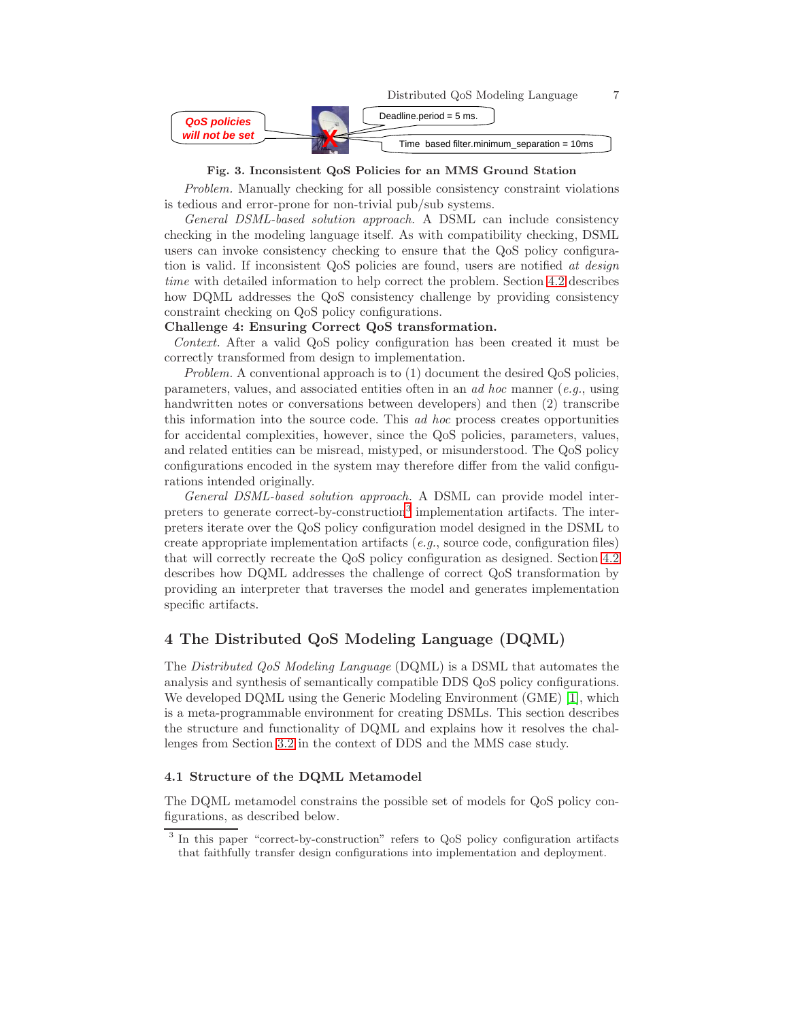



## <span id="page-6-0"></span>**Fig. 3. Inconsistent QoS Policies for an MMS Ground Station**

*Problem.* Manually checking for all possible consistency constraint violations is tedious and error-prone for non-trivial pub/sub systems.

*General DSML-based solution approach.* A DSML can include consistency checking in the modeling language itself. As with compatibility checking, DSML users can invoke consistency checking to ensure that the QoS policy configuration is valid. If inconsistent QoS policies are found, users are notified *at design time* with detailed information to help correct the problem. Section [4.2](#page-8-0) describes how DQML addresses the QoS consistency challenge by providing consistency constraint checking on QoS policy configurations.

## <span id="page-6-2"></span>**Challenge 4: Ensuring Correct QoS transformation.**

*Context.* After a valid QoS policy configuration has been created it must be correctly transformed from design to implementation.

*Problem.* A conventional approach is to (1) document the desired QoS policies, parameters, values, and associated entities often in an *ad hoc* manner (*e.g.*, using handwritten notes or conversations between developers) and then (2) transcribe this information into the source code. This *ad hoc* process creates opportunities for accidental complexities, however, since the QoS policies, parameters, values, and related entities can be misread, mistyped, or misunderstood. The QoS policy configurations encoded in the system may therefore differ from the valid configurations intended originally.

*General DSML-based solution approach.* A DSML can provide model interpreters to generate correct-by-construction[3](#page-6-1) implementation artifacts. The interpreters iterate over the QoS policy configuration model designed in the DSML to create appropriate implementation artifacts (*e.g.*, source code, configuration files) that will correctly recreate the QoS policy configuration as designed. Section [4.2](#page-8-0) describes how DQML addresses the challenge of correct QoS transformation by providing an interpreter that traverses the model and generates implementation specific artifacts.

## **4 The Distributed QoS Modeling Language (DQML)**

The *Distributed QoS Modeling Language* (DQML) is a DSML that automates the analysis and synthesis of semantically compatible DDS QoS policy configurations. We developed DQML using the Generic Modeling Environment (GME) [\[1\]](#page-16-0), which is a meta-programmable environment for creating DSMLs. This section describes the structure and functionality of DQML and explains how it resolves the challenges from Section [3.2](#page-3-2) in the context of DDS and the MMS case study.

#### **4.1 Structure of the DQML Metamodel**

The DQML metamodel constrains the possible set of models for QoS policy configurations, as described below.

<span id="page-6-1"></span><sup>3</sup> In this paper "correct-by-construction" refers to QoS policy configuration artifacts that faithfully transfer design configurations into implementation and deployment.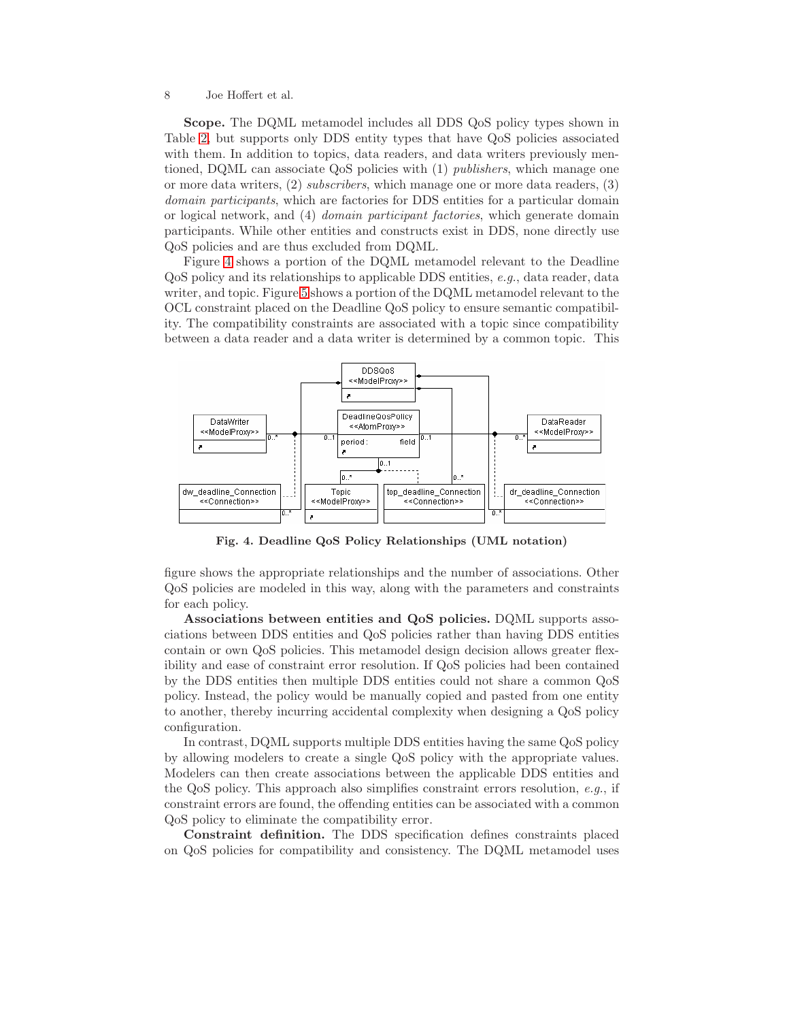**Scope.** The DQML metamodel includes all DDS QoS policy types shown in Table [2,](#page-3-1) but supports only DDS entity types that have QoS policies associated with them. In addition to topics, data readers, and data writers previously mentioned, DQML can associate QoS policies with (1) *publishers*, which manage one or more data writers, (2) *subscribers*, which manage one or more data readers, (3) *domain participants*, which are factories for DDS entities for a particular domain or logical network, and (4) *domain participant factories*, which generate domain participants. While other entities and constructs exist in DDS, none directly use QoS policies and are thus excluded from DQML.

Figure [4](#page-7-0) shows a portion of the DQML metamodel relevant to the Deadline QoS policy and its relationships to applicable DDS entities, *e.g.*, data reader, data writer, and topic. Figure [5](#page-8-1) shows a portion of the DQML metamodel relevant to the OCL constraint placed on the Deadline QoS policy to ensure semantic compatibility. The compatibility constraints are associated with a topic since compatibility between a data reader and a data writer is determined by a common topic. This



<span id="page-7-0"></span>**Fig. 4. Deadline QoS Policy Relationships (UML notation)**

figure shows the appropriate relationships and the number of associations. Other QoS policies are modeled in this way, along with the parameters and constraints for each policy.

**Associations between entities and QoS policies.** DQML supports associations between DDS entities and QoS policies rather than having DDS entities contain or own QoS policies. This metamodel design decision allows greater flexibility and ease of constraint error resolution. If QoS policies had been contained by the DDS entities then multiple DDS entities could not share a common QoS policy. Instead, the policy would be manually copied and pasted from one entity to another, thereby incurring accidental complexity when designing a QoS policy configuration.

In contrast, DQML supports multiple DDS entities having the same QoS policy by allowing modelers to create a single QoS policy with the appropriate values. Modelers can then create associations between the applicable DDS entities and the QoS policy. This approach also simplifies constraint errors resolution, *e.g.*, if constraint errors are found, the offending entities can be associated with a common QoS policy to eliminate the compatibility error.

**Constraint definition.** The DDS specification defines constraints placed on QoS policies for compatibility and consistency. The DQML metamodel uses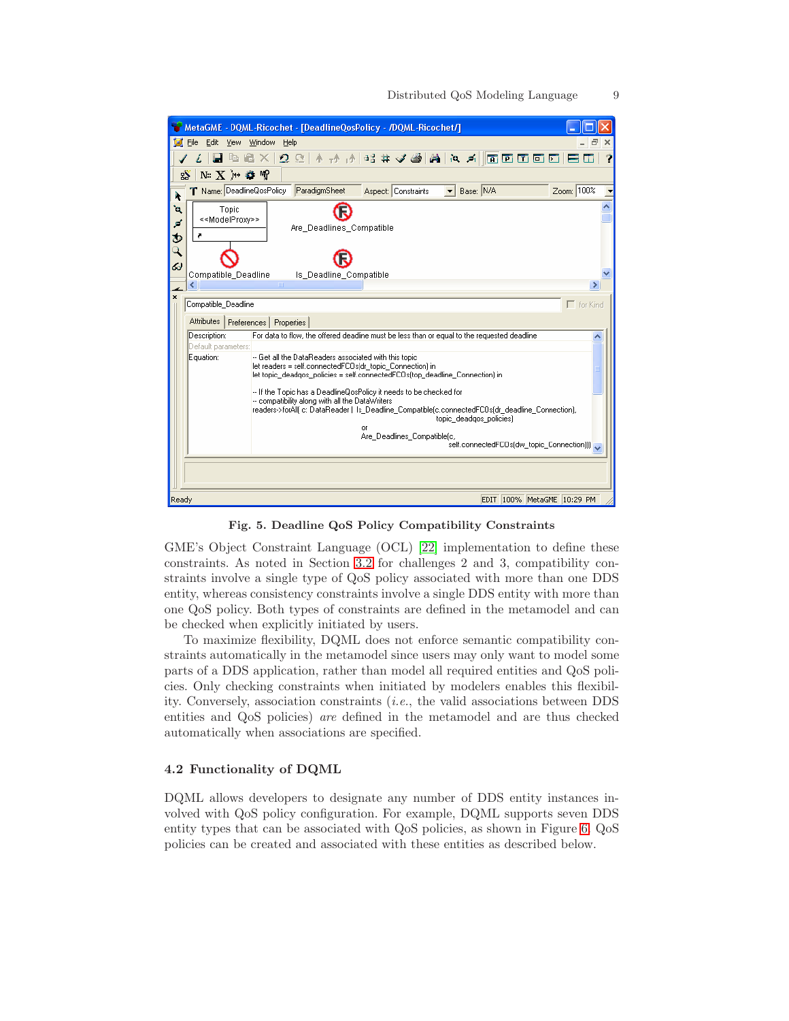

**Fig. 5. Deadline QoS Policy Compatibility Constraints**

<span id="page-8-1"></span>GME's Object Constraint Language (OCL) [\[22\]](#page-17-9) implementation to define these constraints. As noted in Section [3.2](#page-3-2) for challenges 2 and 3, compatibility constraints involve a single type of QoS policy associated with more than one DDS entity, whereas consistency constraints involve a single DDS entity with more than one QoS policy. Both types of constraints are defined in the metamodel and can be checked when explicitly initiated by users.

To maximize flexibility, DQML does not enforce semantic compatibility constraints automatically in the metamodel since users may only want to model some parts of a DDS application, rather than model all required entities and QoS policies. Only checking constraints when initiated by modelers enables this flexibility. Conversely, association constraints (*i.e.*, the valid associations between DDS entities and QoS policies) *are* defined in the metamodel and are thus checked automatically when associations are specified.

## <span id="page-8-0"></span>**4.2 Functionality of DQML**

DQML allows developers to designate any number of DDS entity instances involved with QoS policy configuration. For example, DQML supports seven DDS entity types that can be associated with QoS policies, as shown in Figure [6.](#page-9-0) QoS policies can be created and associated with these entities as described below.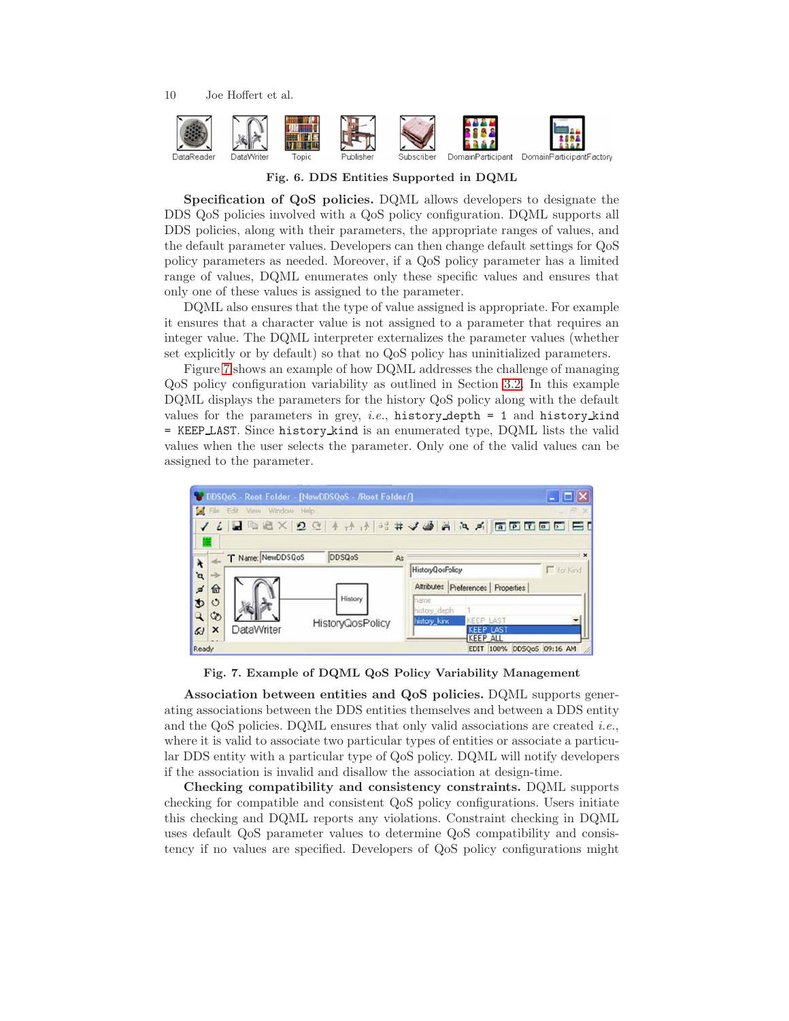



**Fig. 6. DDS Entities Supported in DQML**

<span id="page-9-0"></span>**Specification of QoS policies.** DQML allows developers to designate the DDS QoS policies involved with a QoS policy configuration. DQML supports all DDS policies, along with their parameters, the appropriate ranges of values, and the default parameter values. Developers can then change default settings for QoS policy parameters as needed. Moreover, if a QoS policy parameter has a limited range of values, DQML enumerates only these specific values and ensures that only one of these values is assigned to the parameter.

DQML also ensures that the type of value assigned is appropriate. For example it ensures that a character value is not assigned to a parameter that requires an integer value. The DQML interpreter externalizes the parameter values (whether set explicitly or by default) so that no QoS policy has uninitialized parameters.

Figure [7](#page-9-1) shows an example of how DQML addresses the challenge of managing QoS policy configuration variability as outlined in Section [3.2.](#page-4-1) In this example DQML displays the parameters for the history QoS policy along with the default values for the parameters in grey, *i.e.*, history depth = 1 and history kind = KEEP LAST. Since history kind is an enumerated type, DQML lists the valid values when the user selects the parameter. Only one of the valid values can be assigned to the parameter.



<span id="page-9-1"></span>**Fig. 7. Example of DQML QoS Policy Variability Management**

**Association between entities and QoS policies.** DQML supports generating associations between the DDS entities themselves and between a DDS entity and the QoS policies. DQML ensures that only valid associations are created *i.e.*, where it is valid to associate two particular types of entities or associate a particular DDS entity with a particular type of QoS policy. DQML will notify developers if the association is invalid and disallow the association at design-time.

**Checking compatibility and consistency constraints.** DQML supports checking for compatible and consistent QoS policy configurations. Users initiate this checking and DQML reports any violations. Constraint checking in DQML uses default QoS parameter values to determine QoS compatibility and consistency if no values are specified. Developers of QoS policy configurations might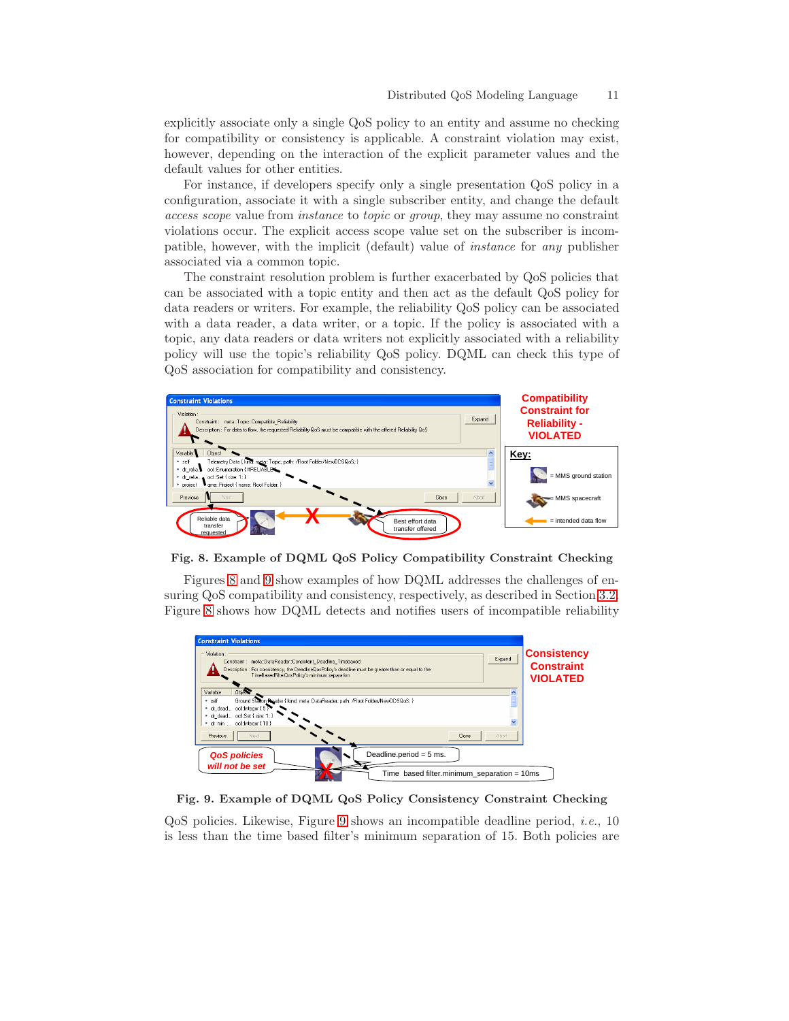explicitly associate only a single QoS policy to an entity and assume no checking for compatibility or consistency is applicable. A constraint violation may exist, however, depending on the interaction of the explicit parameter values and the default values for other entities.

For instance, if developers specify only a single presentation QoS policy in a configuration, associate it with a single subscriber entity, and change the default *access scope* value from *instance* to *topic* or *group*, they may assume no constraint violations occur. The explicit access scope value set on the subscriber is incompatible, however, with the implicit (default) value of *instance* for *any* publisher associated via a common topic.

The constraint resolution problem is further exacerbated by QoS policies that can be associated with a topic entity and then act as the default QoS policy for data readers or writers. For example, the reliability QoS policy can be associated with a data reader, a data writer, or a topic. If the policy is associated with a topic, any data readers or data writers not explicitly associated with a reliability policy will use the topic's reliability QoS policy. DQML can check this type of QoS association for compatibility and consistency.



<span id="page-10-0"></span>**Fig. 8. Example of DQML QoS Policy Compatibility Constraint Checking**

Figures [8](#page-10-0) and [9](#page-10-1) show examples of how DQML addresses the challenges of ensuring QoS compatibility and consistency, respectively, as described in Section [3.2.](#page-4-2) Figure [8](#page-10-0) shows how DQML detects and notifies users of incompatible reliability



<span id="page-10-1"></span>**Fig. 9. Example of DQML QoS Policy Consistency Constraint Checking**

QoS policies. Likewise, Figure [9](#page-10-1) shows an incompatible deadline period, *i.e.*, 10 is less than the time based filter's minimum separation of 15. Both policies are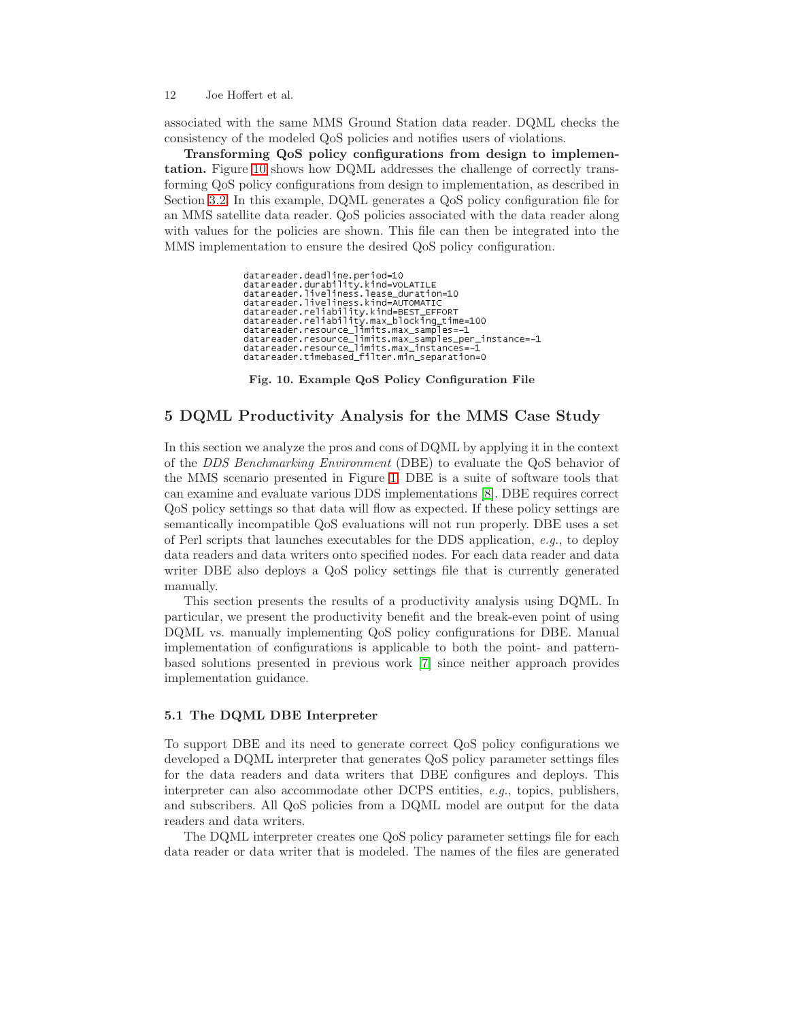associated with the same MMS Ground Station data reader. DQML checks the consistency of the modeled QoS policies and notifies users of violations.

**Transforming QoS policy configurations from design to implementation.** Figure [10](#page-11-0) shows how DQML addresses the challenge of correctly transforming QoS policy configurations from design to implementation, as described in Section [3.2.](#page-6-2) In this example, DQML generates a QoS policy configuration file for an MMS satellite data reader. QoS policies associated with the data reader along with values for the policies are shown. This file can then be integrated into the MMS implementation to ensure the desired QoS policy configuration.

> datareader.deadline.period=10<br>datareader.durability.kind=VOLATILE<br>datareader.liveliness.lease\_duration=10 datareader.liveliness.kind=AuronATIC<br>datareader.liveliness.kind=AuroMATIC<br>datareader.reliability.kind=BEST\_EFFORT<br>datareader.reliability.max\_blocking\_time=100<br>datareader.resource\_limits.max\_samples\_per\_instance=-1<br>dataread datareader.timebased\_filter.min\_separation=0

<span id="page-11-0"></span>**Fig. 10. Example QoS Policy Configuration File**

## **5 DQML Productivity Analysis for the MMS Case Study**

In this section we analyze the pros and cons of DQML by applying it in the context of the *DDS Benchmarking Environment* (DBE) to evaluate the QoS behavior of the MMS scenario presented in Figure [1.](#page-2-0) DBE is a suite of software tools that can examine and evaluate various DDS implementations [\[8\]](#page-17-10). DBE requires correct QoS policy settings so that data will flow as expected. If these policy settings are semantically incompatible QoS evaluations will not run properly. DBE uses a set of Perl scripts that launches executables for the DDS application, *e.g.*, to deploy data readers and data writers onto specified nodes. For each data reader and data writer DBE also deploys a QoS policy settings file that is currently generated manually.

This section presents the results of a productivity analysis using DQML. In particular, we present the productivity benefit and the break-even point of using DQML vs. manually implementing QoS policy configurations for DBE. Manual implementation of configurations is applicable to both the point- and patternbased solutions presented in previous work [\[7\]](#page-17-6) since neither approach provides implementation guidance.

## **5.1 The DQML DBE Interpreter**

To support DBE and its need to generate correct QoS policy configurations we developed a DQML interpreter that generates QoS policy parameter settings files for the data readers and data writers that DBE configures and deploys. This interpreter can also accommodate other DCPS entities, *e.g.*, topics, publishers, and subscribers. All QoS policies from a DQML model are output for the data readers and data writers.

The DQML interpreter creates one QoS policy parameter settings file for each data reader or data writer that is modeled. The names of the files are generated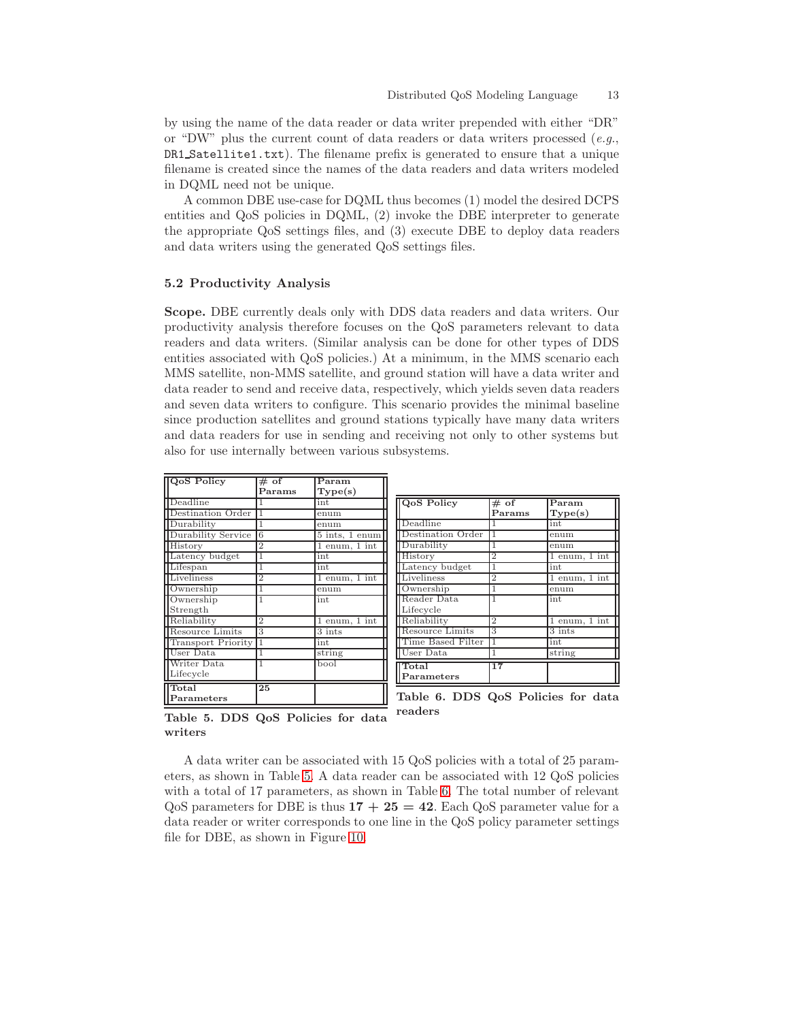by using the name of the data reader or data writer prepended with either "DR" or "DW" plus the current count of data readers or data writers processed (*e.g.*, DR1 Satellite1.txt). The filename prefix is generated to ensure that a unique filename is created since the names of the data readers and data writers modeled in DQML need not be unique.

A common DBE use-case for DQML thus becomes (1) model the desired DCPS entities and QoS policies in DQML, (2) invoke the DBE interpreter to generate the appropriate QoS settings files, and (3) execute DBE to deploy data readers and data writers using the generated QoS settings files.

## **5.2 Productivity Analysis**

**Scope.** DBE currently deals only with DDS data readers and data writers. Our productivity analysis therefore focuses on the QoS parameters relevant to data readers and data writers. (Similar analysis can be done for other types of DDS entities associated with QoS policies.) At a minimum, in the MMS scenario each MMS satellite, non-MMS satellite, and ground station will have a data writer and data reader to send and receive data, respectively, which yields seven data readers and seven data writers to configure. This scenario provides the minimal baseline since production satellites and ground stations typically have many data writers and data readers for use in sending and receiving not only to other systems but also for use internally between various subsystems.

| <b>QoS Policy</b>  | $\# \overline{\text{of}}$ | Param             |
|--------------------|---------------------------|-------------------|
|                    | Params                    | Type(s)           |
| Deadline           | 1                         | int               |
| Destination Order  | 1                         | enum              |
| Durability         | 1                         | enum              |
| Durability Service | 6                         | 5 ints, 1 enum    |
| History            | $\overline{2}$            | $1$ enum, $1$ int |
| Latency budget     | 1                         | int               |
| Lifespan           | $\overline{1}$            | int               |
| Liveliness         | 2                         | $1$ enum, $1$ int |
| Ownership          | 1                         | enum              |
| Ownership          | 1                         | int               |
| Strength           |                           |                   |
| Reliability        | $\overline{2}$            | $1$ enum, $1$ int |
| Resource Limits    | 3                         | $3$ ints          |
| Transport Priority | $\mathbf{1}$              | int               |
| User Data          | 1                         | string            |
| Writer Data        | 1                         | bool              |
| Lifecycle          |                           |                   |
| Total              | 25                        |                   |
| Parameters         |                           |                   |
|                    |                           |                   |

| <b>QoS</b> Policy | $# \overline{of}$ | $\rm {Param}$                |
|-------------------|-------------------|------------------------------|
|                   | Params            | Type(s)                      |
| Deadline          | 1                 | int                          |
| Destination Order | 1                 | enum                         |
| Durability        | 1                 | enum                         |
| History           | 2                 | $1$ enum, $1 \overline{int}$ |
| Latency budget    | 1                 | int                          |
| Liveliness        | 2                 | 1 enum, $1 \overline{int}$   |
| Ownership         | 1                 | enum                         |
| Reader Data       | 1                 | int                          |
| Lifecycle         |                   |                              |
| Reliability       | $\overline{2}$    | $1$ enum, $1$ int            |
| Resource Limits   | 3                 | $3$ ints                     |
| Time Based Filter | 1                 | int                          |
| User Data         | 1                 | string                       |
| Total             | 17                |                              |
| Parameters        |                   |                              |

<span id="page-12-0"></span>**Table 5. DDS QoS Policies for data writers**

<span id="page-12-1"></span>**Table 6. DDS QoS Policies for data readers**

A data writer can be associated with 15 QoS policies with a total of 25 parameters, as shown in Table [5.](#page-12-0) A data reader can be associated with 12 QoS policies with a total of 17 parameters, as shown in Table [6.](#page-12-1) The total number of relevant QoS parameters for DBE is thus  $17 + 25 = 42$ . Each QoS parameter value for a data reader or writer corresponds to one line in the QoS policy parameter settings file for DBE, as shown in Figure [10.](#page-11-0)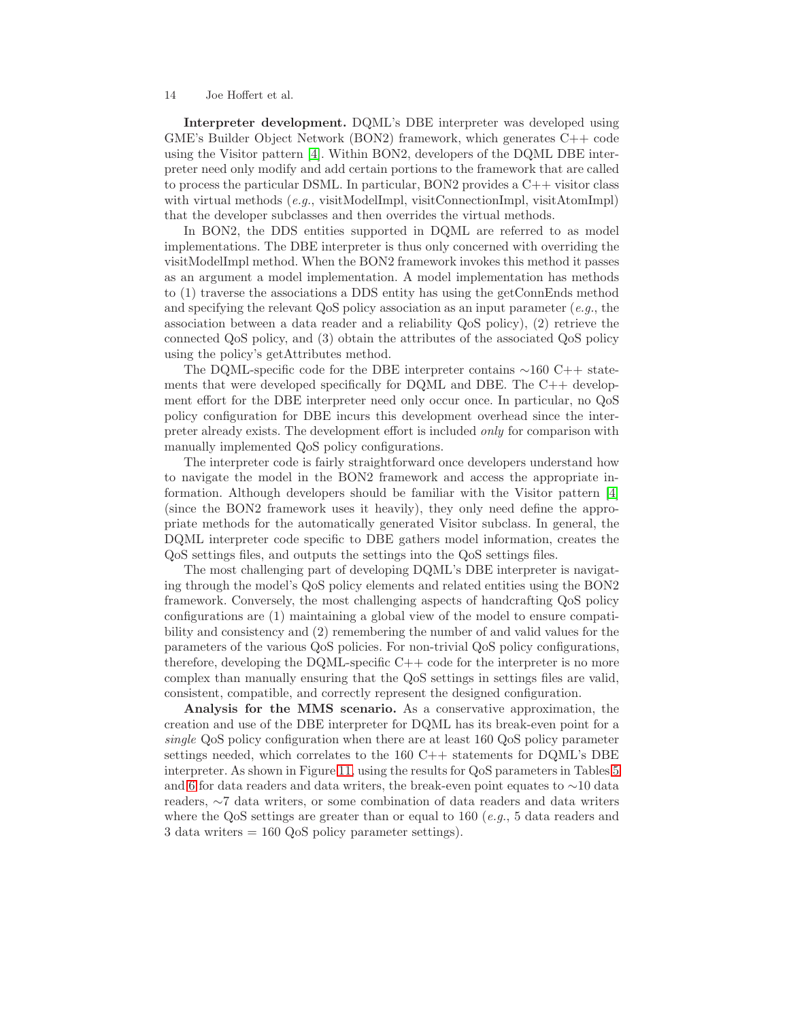**Interpreter development.** DQML's DBE interpreter was developed using GME's Builder Object Network (BON2) framework, which generates C++ code using the Visitor pattern [\[4\]](#page-16-1). Within BON2, developers of the DQML DBE interpreter need only modify and add certain portions to the framework that are called to process the particular DSML. In particular, BON2 provides a C++ visitor class with virtual methods (*e.g.*, visitModelImpl, visitConnectionImpl, visitAtomImpl) that the developer subclasses and then overrides the virtual methods.

In BON2, the DDS entities supported in DQML are referred to as model implementations. The DBE interpreter is thus only concerned with overriding the visitModelImpl method. When the BON2 framework invokes this method it passes as an argument a model implementation. A model implementation has methods to (1) traverse the associations a DDS entity has using the getConnEnds method and specifying the relevant QoS policy association as an input parameter (*e.g.*, the association between a data reader and a reliability QoS policy), (2) retrieve the connected QoS policy, and (3) obtain the attributes of the associated QoS policy using the policy's getAttributes method.

The DQML-specific code for the DBE interpreter contains ∼160 C++ statements that were developed specifically for DQML and DBE. The C++ development effort for the DBE interpreter need only occur once. In particular, no QoS policy configuration for DBE incurs this development overhead since the interpreter already exists. The development effort is included *only* for comparison with manually implemented QoS policy configurations.

The interpreter code is fairly straightforward once developers understand how to navigate the model in the BON2 framework and access the appropriate information. Although developers should be familiar with the Visitor pattern [\[4\]](#page-16-1) (since the BON2 framework uses it heavily), they only need define the appropriate methods for the automatically generated Visitor subclass. In general, the DQML interpreter code specific to DBE gathers model information, creates the QoS settings files, and outputs the settings into the QoS settings files.

The most challenging part of developing DQML's DBE interpreter is navigating through the model's QoS policy elements and related entities using the BON2 framework. Conversely, the most challenging aspects of handcrafting QoS policy configurations are (1) maintaining a global view of the model to ensure compatibility and consistency and (2) remembering the number of and valid values for the parameters of the various QoS policies. For non-trivial QoS policy configurations, therefore, developing the  $DQML$ -specific  $C++$  code for the interpreter is no more complex than manually ensuring that the QoS settings in settings files are valid, consistent, compatible, and correctly represent the designed configuration.

**Analysis for the MMS scenario.** As a conservative approximation, the creation and use of the DBE interpreter for DQML has its break-even point for a *single* QoS policy configuration when there are at least 160 QoS policy parameter settings needed, which correlates to the  $160 \text{ C++}$  statements for DQML's DBE interpreter. As shown in Figure [11,](#page-14-0) using the results for QoS parameters in Tables [5](#page-12-0) and [6](#page-12-1) for data readers and data writers, the break-even point equates to ∼10 data readers, ∼7 data writers, or some combination of data readers and data writers where the QoS settings are greater than or equal to 160 (*e.g.*, 5 data readers and 3 data writers = 160 QoS policy parameter settings).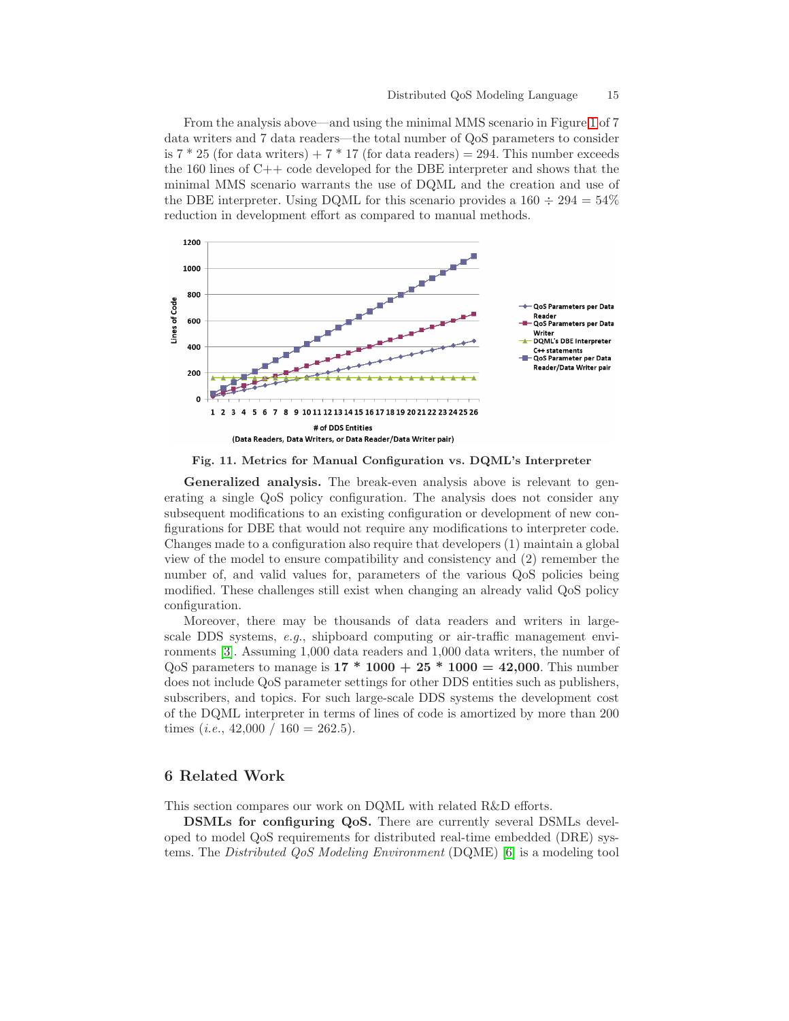From the analysis above—and using the minimal MMS scenario in Figure [1](#page-2-0) of 7 data writers and 7 data readers—the total number of QoS parameters to consider is  $7 * 25$  (for data writers)  $+ 7 * 17$  (for data readers)  $= 294$ . This number exceeds the 160 lines of  $C_{++}$  code developed for the DBE interpreter and shows that the minimal MMS scenario warrants the use of DQML and the creation and use of the DBE interpreter. Using DQML for this scenario provides a  $160 \div 294 = 54\%$ reduction in development effort as compared to manual methods.



<span id="page-14-0"></span>**Fig. 11. Metrics for Manual Configuration vs. DQML's Interpreter**

**Generalized analysis.** The break-even analysis above is relevant to generating a single QoS policy configuration. The analysis does not consider any subsequent modifications to an existing configuration or development of new configurations for DBE that would not require any modifications to interpreter code. Changes made to a configuration also require that developers (1) maintain a global view of the model to ensure compatibility and consistency and (2) remember the number of, and valid values for, parameters of the various QoS policies being modified. These challenges still exist when changing an already valid QoS policy configuration.

Moreover, there may be thousands of data readers and writers in largescale DDS systems, *e.g.*, shipboard computing or air-traffic management environments [\[3\]](#page-16-2). Assuming 1,000 data readers and 1,000 data writers, the number of QoS parameters to manage is  $17 * 1000 + 25 * 1000 = 42,000$ . This number does not include QoS parameter settings for other DDS entities such as publishers, subscribers, and topics. For such large-scale DDS systems the development cost of the DQML interpreter in terms of lines of code is amortized by more than 200 times (*i.e.*,  $42,000 / 160 = 262.5$ ).

## **6 Related Work**

This section compares our work on DQML with related R&D efforts.

**DSMLs for configuring QoS.** There are currently several DSMLs developed to model QoS requirements for distributed real-time embedded (DRE) systems. The *Distributed QoS Modeling Environment* (DQME) [\[6\]](#page-17-11) is a modeling tool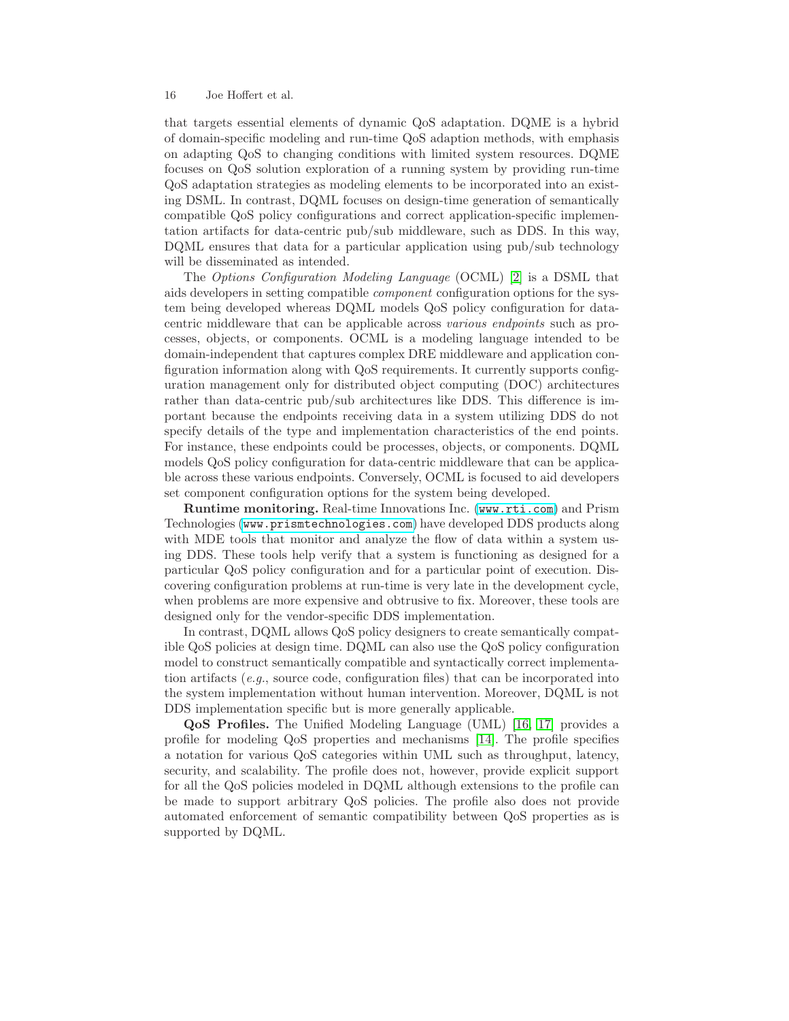that targets essential elements of dynamic QoS adaptation. DQME is a hybrid of domain-specific modeling and run-time QoS adaption methods, with emphasis on adapting QoS to changing conditions with limited system resources. DQME focuses on QoS solution exploration of a running system by providing run-time QoS adaptation strategies as modeling elements to be incorporated into an existing DSML. In contrast, DQML focuses on design-time generation of semantically compatible QoS policy configurations and correct application-specific implementation artifacts for data-centric pub/sub middleware, such as DDS. In this way, DQML ensures that data for a particular application using pub/sub technology will be disseminated as intended.

The *Options Configuration Modeling Language* (OCML) [\[2\]](#page-16-3) is a DSML that aids developers in setting compatible *component* configuration options for the system being developed whereas DQML models QoS policy configuration for datacentric middleware that can be applicable across *various endpoints* such as processes, objects, or components. OCML is a modeling language intended to be domain-independent that captures complex DRE middleware and application configuration information along with QoS requirements. It currently supports configuration management only for distributed object computing (DOC) architectures rather than data-centric pub/sub architectures like DDS. This difference is important because the endpoints receiving data in a system utilizing DDS do not specify details of the type and implementation characteristics of the end points. For instance, these endpoints could be processes, objects, or components. DQML models QoS policy configuration for data-centric middleware that can be applicable across these various endpoints. Conversely, OCML is focused to aid developers set component configuration options for the system being developed.

**Runtime monitoring.** Real-time Innovations Inc. (<www.rti.com>) and Prism Technologies (<www.prismtechnologies.com>) have developed DDS products along with MDE tools that monitor and analyze the flow of data within a system using DDS. These tools help verify that a system is functioning as designed for a particular QoS policy configuration and for a particular point of execution. Discovering configuration problems at run-time is very late in the development cycle, when problems are more expensive and obtrusive to fix. Moreover, these tools are designed only for the vendor-specific DDS implementation.

In contrast, DQML allows QoS policy designers to create semantically compatible QoS policies at design time. DQML can also use the QoS policy configuration model to construct semantically compatible and syntactically correct implementation artifacts (*e.g.*, source code, configuration files) that can be incorporated into the system implementation without human intervention. Moreover, DQML is not DDS implementation specific but is more generally applicable.

**QoS Profiles.** The Unified Modeling Language (UML) [\[16,](#page-17-12) [17\]](#page-17-13) provides a profile for modeling QoS properties and mechanisms [\[14\]](#page-17-14). The profile specifies a notation for various QoS categories within UML such as throughput, latency, security, and scalability. The profile does not, however, provide explicit support for all the QoS policies modeled in DQML although extensions to the profile can be made to support arbitrary QoS policies. The profile also does not provide automated enforcement of semantic compatibility between QoS properties as is supported by DQML.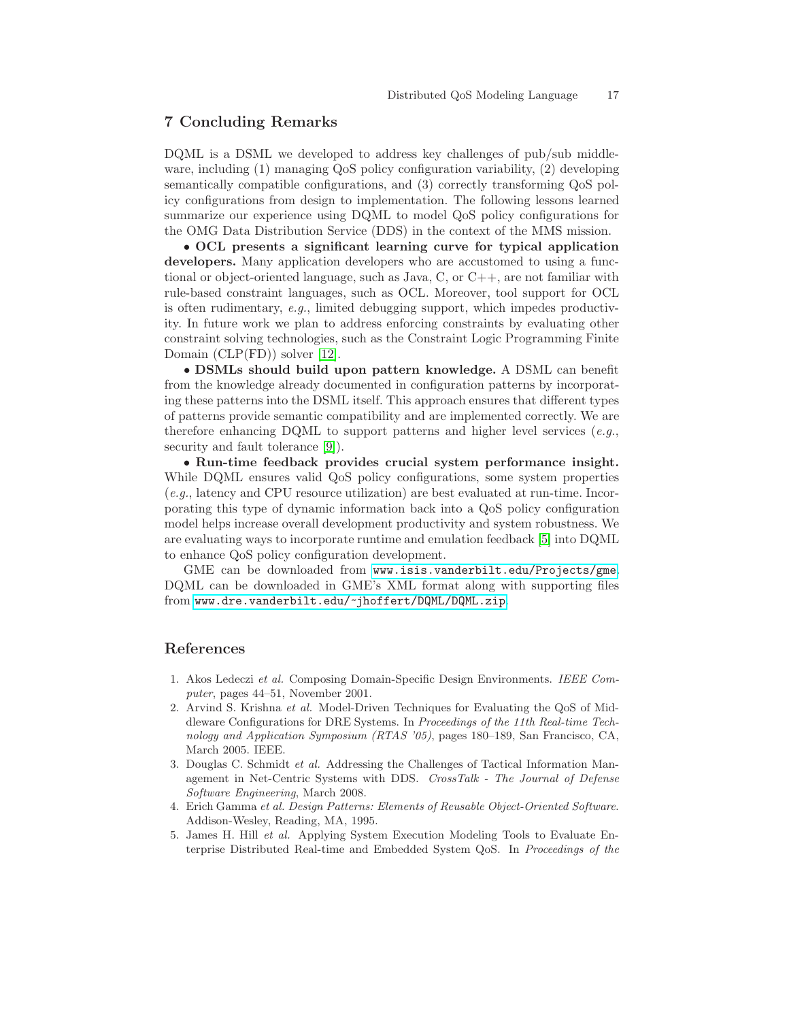## **7 Concluding Remarks**

DQML is a DSML we developed to address key challenges of pub/sub middleware, including (1) managing QoS policy configuration variability, (2) developing semantically compatible configurations, and (3) correctly transforming QoS policy configurations from design to implementation. The following lessons learned summarize our experience using DQML to model QoS policy configurations for the OMG Data Distribution Service (DDS) in the context of the MMS mission.

• **OCL presents a significant learning curve for typical application developers.** Many application developers who are accustomed to using a functional or object-oriented language, such as Java, C, or C++, are not familiar with rule-based constraint languages, such as OCL. Moreover, tool support for OCL is often rudimentary, *e.g.*, limited debugging support, which impedes productivity. In future work we plan to address enforcing constraints by evaluating other constraint solving technologies, such as the Constraint Logic Programming Finite Domain (CLP(FD)) solver [\[12\]](#page-17-15).

• **DSMLs should build upon pattern knowledge.** A DSML can benefit from the knowledge already documented in configuration patterns by incorporating these patterns into the DSML itself. This approach ensures that different types of patterns provide semantic compatibility and are implemented correctly. We are therefore enhancing DQML to support patterns and higher level services (*e.g.*, security and fault tolerance [\[9\]](#page-17-16)).

• **Run-time feedback provides crucial system performance insight.** While DQML ensures valid QoS policy configurations, some system properties (*e.g.*, latency and CPU resource utilization) are best evaluated at run-time. Incorporating this type of dynamic information back into a QoS policy configuration model helps increase overall development productivity and system robustness. We are evaluating ways to incorporate runtime and emulation feedback [\[5\]](#page-16-4) into DQML to enhance QoS policy configuration development.

GME can be downloaded from <www.isis.vanderbilt.edu/Projects/gme>. DQML can be downloaded in GME's XML format along with supporting files from <www.dre.vanderbilt.edu/~jhoffert/DQML/DQML.zip>.

## <span id="page-16-0"></span>**References**

- 1. Akos Ledeczi *et al.* Composing Domain-Specific Design Environments. *IEEE Computer*, pages 44–51, November 2001.
- <span id="page-16-3"></span>2. Arvind S. Krishna *et al.* Model-Driven Techniques for Evaluating the QoS of Middleware Configurations for DRE Systems. In *Proceedings of the 11th Real-time Technology and Application Symposium (RTAS '05)*, pages 180–189, San Francisco, CA, March 2005. IEEE.
- <span id="page-16-2"></span>3. Douglas C. Schmidt *et al.* Addressing the Challenges of Tactical Information Management in Net-Centric Systems with DDS. *CrossTalk - The Journal of Defense Software Engineering*, March 2008.
- <span id="page-16-1"></span>4. Erich Gamma *et al. Design Patterns: Elements of Reusable Object-Oriented Software*. Addison-Wesley, Reading, MA, 1995.
- <span id="page-16-4"></span>5. James H. Hill *et al.* Applying System Execution Modeling Tools to Evaluate Enterprise Distributed Real-time and Embedded System QoS. In *Proceedings of the*